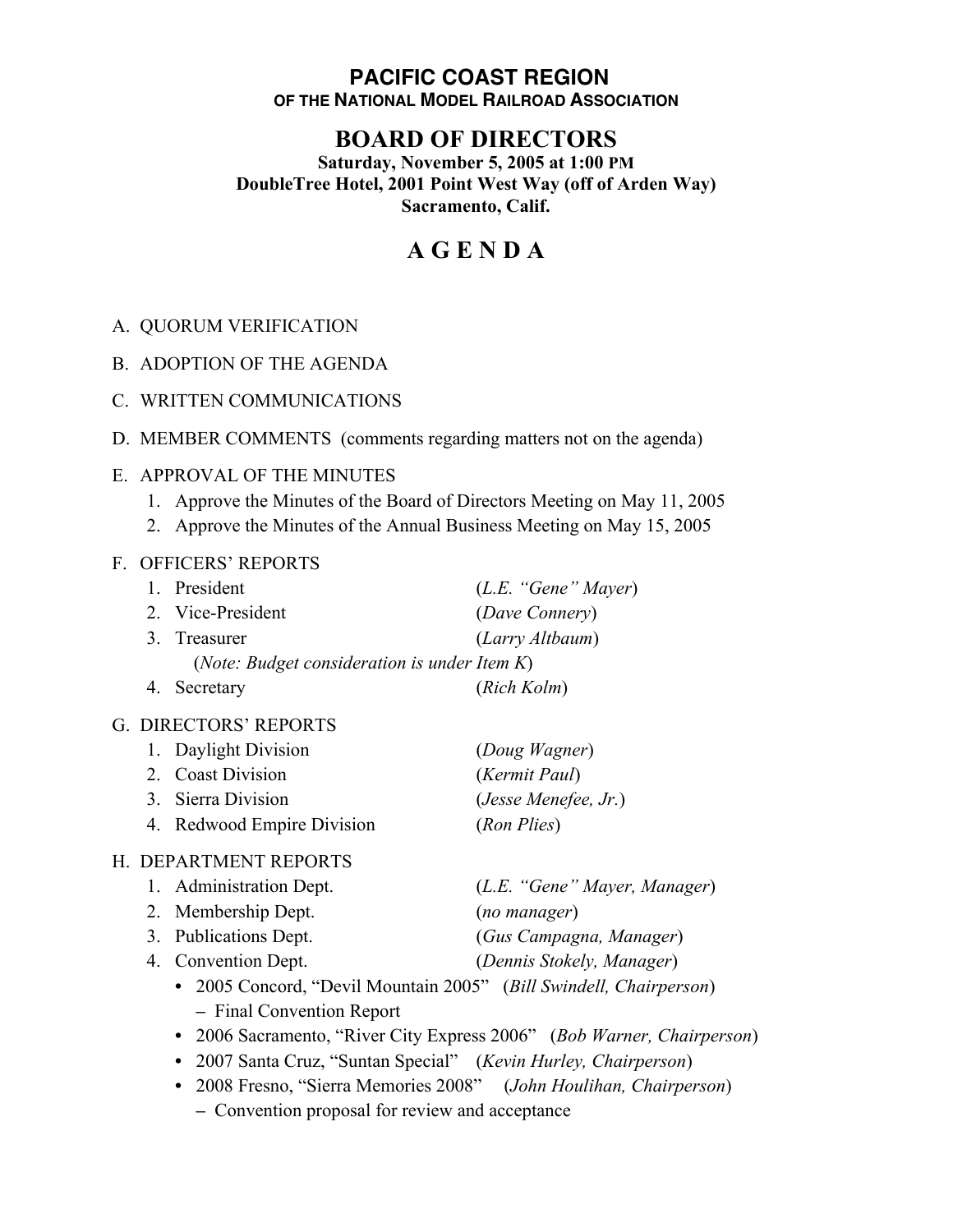### **PACIFIC COAST REGION OF THE NATIONAL MODEL RAILROAD ASSOCIATION**

## **BOARD OF DIRECTORS**

**Saturday, November 5, 2005 at 1:00 PM DoubleTree Hotel, 2001 Point West Way (off of Arden Way) Sacramento, Calif.**

# **A G E N D A**

- A. QUORUM VERIFICATION
- B. ADOPTION OF THE AGENDA
- C. WRITTEN COMMUNICATIONS
- D. MEMBER COMMENTS (comments regarding matters not on the agenda)

#### E. APPROVAL OF THE MINUTES

- 1. Approve the Minutes of the Board of Directors Meeting on May 11, 2005
- 2. Approve the Minutes of the Annual Business Meeting on May 15, 2005

#### F. OFFICERS' REPORTS

| 1. President                                          | (L.E. "Gene" Mayer) |  |
|-------------------------------------------------------|---------------------|--|
| 2. Vice-President                                     | (Dave Connery)      |  |
| 3. Treasurer                                          | (Larry Altbaum)     |  |
| ( <i>Note: Budget consideration is under Item K</i> ) |                     |  |
| 4. Secretary                                          | (Rich Kolm)         |  |

#### G. DIRECTORS' REPORTS

| 1. Daylight Division       | (Doug Wagner)          |
|----------------------------|------------------------|
| 2. Coast Division          | (Kermit Paul)          |
| 3. Sierra Division         | $(Jesse$ Menefee, Jr.) |
| 4. Redwood Empire Division | (Ron Plies)            |

#### H. DEPARTMENT REPORTS

| 1. Administration Dept. | (L.E. "Gene" Mayer, Manager)        |
|-------------------------|-------------------------------------|
| 2. Membership Dept.     | (no manager)                        |
| 3. Publications Dept.   | (Gus Campagna, Manager)             |
| 4. Convention Dept.     | (Dennis Stokely, Manager)           |
|                         | $(1, 1, 1, 1)$ $(1, 1, 1, 1, 1, 1)$ |

- **•** 2005 Concord, "Devil Mountain 2005" (*Bill Swindell, Chairperson*) **–** Final Convention Report
- **•** 2006 Sacramento, "River City Express 2006" (*Bob Warner, Chairperson*)
- **•** 2007 Santa Cruz, "Suntan Special" (*Kevin Hurley, Chairperson*)
- **•** 2008 Fresno, "Sierra Memories 2008" (*John Houlihan, Chairperson*)
	- **–** Convention proposal for review and acceptance